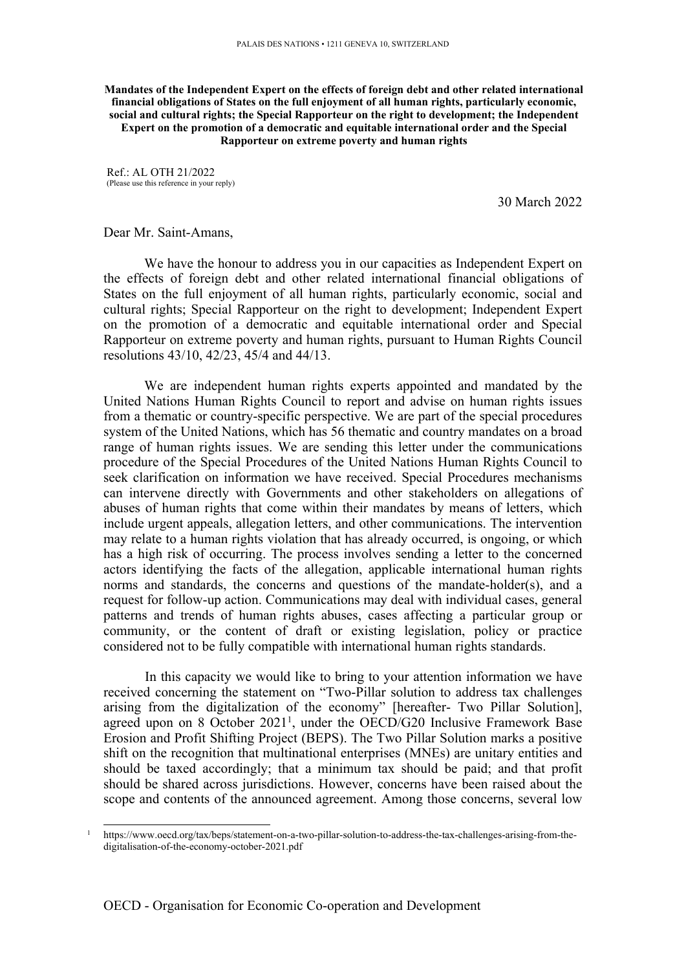**Mandates of the Independent Expert on the effects of foreign debt and other related international financial obligations of States on the full enjoyment of all human rights, particularly economic, social and cultural rights; the Special Rapporteur on the right to development; the Independent Expert on the promotion of <sup>a</sup> democratic and equitable international order and the Special Rapporteur on extreme poverty and human rights**

Ref.: AL OTH 21/2022 (Please use this reference in your reply)

30 March 2022

Dear Mr. Saint-Amans,

We have the honour to address you in our capacities as Independent Expert on the effects of foreign debt and other related international financial obligations of States on the full enjoyment of all human rights, particularly economic, social and cultural rights; Special Rapporteur on the right to development; Independent Expert on the promotion of <sup>a</sup> democratic and equitable international order and Special Rapporteur on extreme poverty and human rights, pursuan<sup>t</sup> to Human Rights Council resolutions 43/10, 42/23, 45/4 and 44/13.

We are independent human rights experts appointed and mandated by the United Nations Human Rights Council to repor<sup>t</sup> and advise on human rights issues from <sup>a</sup> thematic or country-specific perspective. We are par<sup>t</sup> of the special procedures system of the United Nations, which has 56 thematic and country mandates on <sup>a</sup> broad range of human rights issues. We are sending this letter under the communications procedure of the Special Procedures of the United Nations Human Rights Council to seek clarification on information we have received. Special Procedures mechanisms can intervene directly with Governments and other stakeholders on allegations of abuses of human rights that come within their mandates by means of letters, which include urgen<sup>t</sup> appeals, allegation letters, and other communications. The intervention may relate to <sup>a</sup> human rights violation that has already occurred, is ongoing, or which has <sup>a</sup> high risk of occurring. The process involves sending <sup>a</sup> letter to the concerned actors identifying the facts of the allegation, applicable international human rights norms and standards, the concerns and questions of the mandate-holder(s), and <sup>a</sup> reques<sup>t</sup> for follow-up action. Communications may deal with individual cases, general patterns and trends of human rights abuses, cases affecting <sup>a</sup> particular group or community, or the content of draft or existing legislation, policy or practice considered not to be fully compatible with international human rights standards.

In this capacity we would like to bring to your attention information we have received concerning the statement on "Two-Pillar solution to address tax challenges arising from the digitalization of the economy" [hereafter- Two Pillar Solution], agreed upon on 8 October 2021<sup>1</sup>, under the OECD/G20 Inclusive Framework Base Erosion and Profit Shifting Project (BEPS). The Two Pillar Solution marks <sup>a</sup> positive shift on the recognition that multinational enterprises (MNEs) are unitary entities and should be taxed accordingly; that <sup>a</sup> minimum tax should be paid; and that profit should be shared across jurisdictions. However, concerns have been raised about the scope and contents of the announced agreement. Among those concerns, several low

<sup>1</sup> https://www.oecd.org/tax/beps/statement-on-a-two-pillar-solution-to-address-the-tax-challenges-arising-from-thedigitalisation-of-the-economy-october-2021.pdf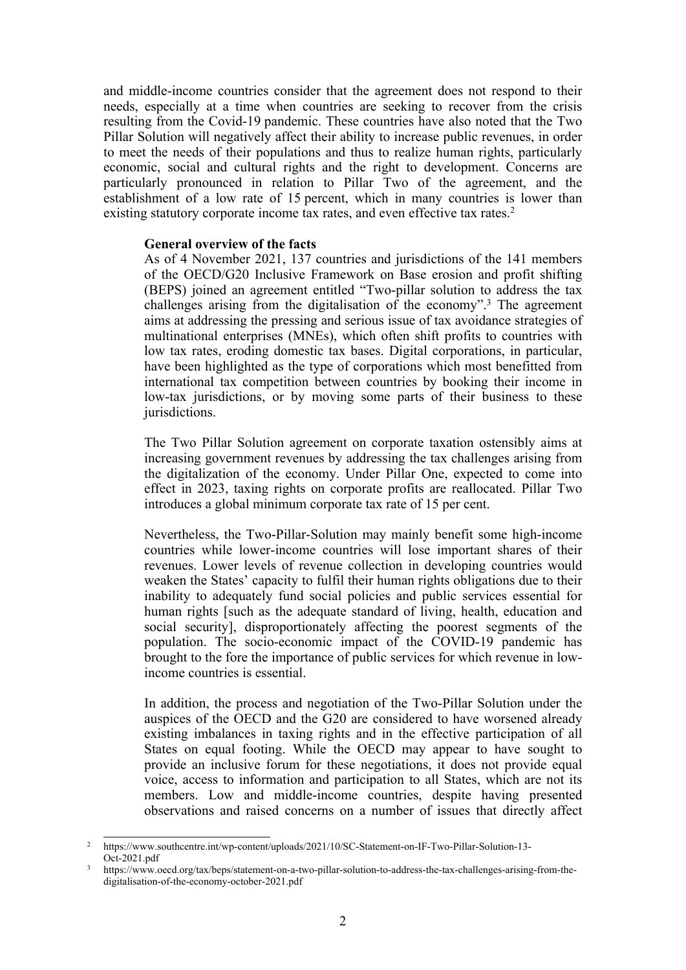and middle-income countries consider that the agreemen<sup>t</sup> does not respond to their needs, especially at <sup>a</sup> time when countries are seeking to recover from the crisis resulting from the Covid-19 pandemic. These countries have also noted that the Two Pillar Solution will negatively affect their ability to increase public revenues, in order to meet the needs of their populations and thus to realize human rights, particularly economic, social and cultural rights and the right to development. Concerns are particularly pronounced in relation to Pillar Two of the agreement, and the establishment of <sup>a</sup> low rate of 15 percent, which in many countries is lower than existing statutory corporate income tax rates, and even effective tax rates. 2

## **General overview of the facts**

As of 4 November 2021, 137 countries and jurisdictions of the 141 members of the OECD/G20 Inclusive Framework on Base erosion and profit shifting (BEPS) joined an agreemen<sup>t</sup> entitled "Two-pillar solution to address the tax challenges arising from the digitalisation of the economy". 3 The agreemen<sup>t</sup> aims at addressing the pressing and serious issue of tax avoidance strategies of multinational enterprises (MNEs), which often shift profits to countries with low tax rates, eroding domestic tax bases. Digital corporations, in particular, have been highlighted as the type of corporations which most benefitted from international tax competition between countries by booking their income in low-tax jurisdictions, or by moving some parts of their business to these jurisdictions.

The Two Pillar Solution agreemen<sup>t</sup> on corporate taxation ostensibly aims at increasing governmen<sup>t</sup> revenues by addressing the tax challenges arising from the digitalization of the economy. Under Pillar One, expected to come into effect in 2023, taxing rights on corporate profits are reallocated. Pillar Two introduces <sup>a</sup> global minimum corporate tax rate of 15 per cent.

Nevertheless, the Two-Pillar-Solution may mainly benefit some high-income countries while lower-income countries will lose important shares of their revenues. Lower levels of revenue collection in developing countries would weaken the States' capacity to fulfil their human rights obligations due to their inability to adequately fund social policies and public services essential for human rights [such as the adequate standard of living, health, education and social security], disproportionately affecting the poores<sup>t</sup> segments of the population. The socio-economic impact of the COVID-19 pandemic has brought to the fore the importance of public services for which revenue in lowincome countries is essential.

In addition, the process and negotiation of the Two-Pillar Solution under the auspices of the OECD and the G20 are considered to have worsened already existing imbalances in taxing rights and in the effective participation of all States on equal footing. While the OECD may appear to have sought to provide an inclusive forum for these negotiations, it does not provide equal voice, access to information and participation to all States, which are not its members. Low and middle-income countries, despite having presented observations and raised concerns on <sup>a</sup> number of issues that directly affect

<sup>&</sup>lt;sup>2</sup> https://www.southcentre.int/wp-content/uploads/2021/10/SC-Statement-on-IF-Two-Pillar-Solution-13-Oct-2021.pdf

<sup>3</sup> https://www.oecd.org/tax/beps/statement-on-a-two-pillar-solution-to-address-the-tax-challenges-arising-from-thedigitalisation-of-the-economy-october-2021.pdf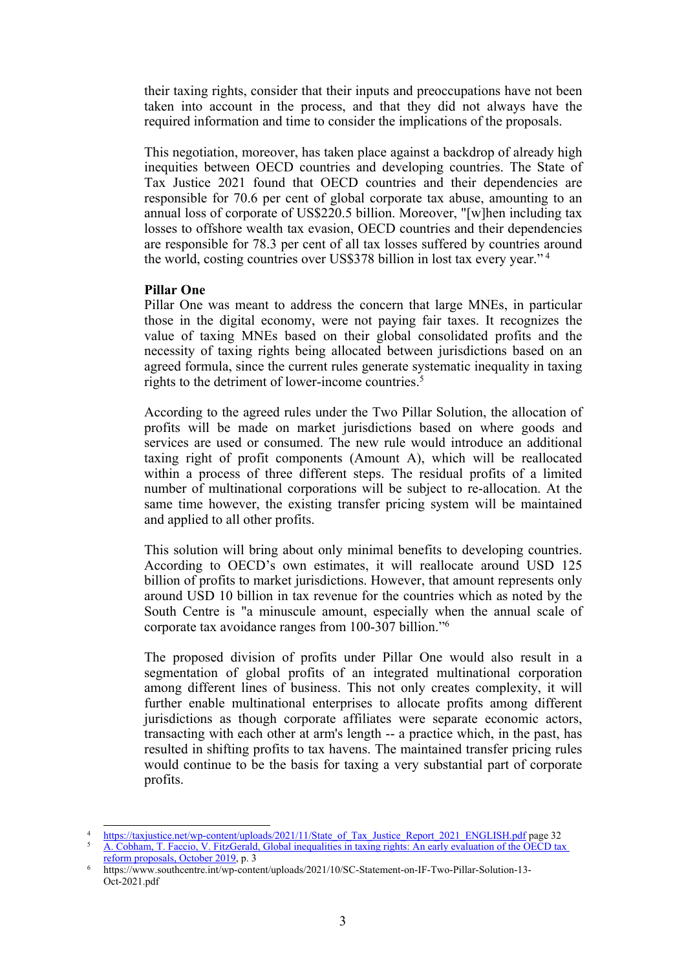their taxing rights, consider that their inputs and preoccupations have not been taken into account in the process, and that they did not always have the required information and time to consider the implications of the proposals.

This negotiation, moreover, has taken place against <sup>a</sup> backdrop of already high inequities between OECD countries and developing countries. The State of Tax Justice 2021 found that OECD countries and their dependencies are responsible for 70.6 per cent of global corporate tax abuse, amounting to an annual loss of corporate of US\$220.5 billion. Moreover, "[w]hen including tax losses to offshore wealth tax evasion, OECD countries and their dependencies are responsible for 78.3 per cent of all tax losses suffered by countries around the world, costing countries over US\$378 billion in lost tax every year." <sup>4</sup>

## **Pillar One**

Pillar One was meant to address the concern that large MNEs, in particular those in the digital economy, were not paying fair taxes. It recognizes the value of taxing MNEs based on their global consolidated profits and the necessity of taxing rights being allocated between jurisdictions based on an agreed formula, since the current rules generate systematic inequality in taxing rights to the detriment of lower-income countries. 5

According to the agreed rules under the Two Pillar Solution, the allocation of profits will be made on market jurisdictions based on where goods and services are used or consumed. The new rule would introduce an additional taxing right of profit components (Amount A), which will be reallocated within <sup>a</sup> process of three different steps. The residual profits of <sup>a</sup> limited number of multinational corporations will be subject to re-allocation. At the same time however, the existing transfer pricing system will be maintained and applied to all other profits.

This solution will bring about only minimal benefits to developing countries. According to OECD'<sup>s</sup> own estimates, it will reallocate around USD 125 billion of profits to market jurisdictions. However, that amount represents only around USD 10 billion in tax revenue for the countries which as noted by the South Centre is "a minuscule amount, especially when the annual scale of corporate tax avoidance ranges from 100-307 billion."<sup>6</sup>

The proposed division of profits under Pillar One would also result in <sup>a</sup> segmentation of global profits of an integrated multinational corporation among different lines of business. This not only creates complexity, it will further enable multinational enterprises to allocate profits among different jurisdictions as though corporate affiliates were separate economic actors, transacting with each other at arm's length -- <sup>a</sup> practice which, in the past, has resulted in shifting profits to tax havens. The maintained transfer pricing rules would continue to be the basis for taxing <sup>a</sup> very substantial par<sup>t</sup> of corporate profits.

<sup>4</sup> [https://taxjustice.net/wp-content/uploads/2021/11/State\\_of\\_Tax\\_Justice\\_Report\\_2021\\_ENGLISH.pdf](https://taxjustice.net/wp-content/uploads/2021/11/State_of_Tax_Justice_Report_2021_ENGLISH.pdf) page 32

<sup>&</sup>lt;sup>5</sup> A. Cobham, T. Faccio, V. FitzGerald, Global [inequalities](https://osf.io/preprints/socarxiv/j3p48/) in taxing rights: An early evaluation of the OECD tax reform proposals, [October](https://osf.io/preprints/socarxiv/j3p48/) 2019, p. 3

<sup>6</sup> https://www.southcentre.int/wp-content/uploads/2021/10/SC-Statement-on-IF-Two-Pillar-Solution-13- Oct-2021.pdf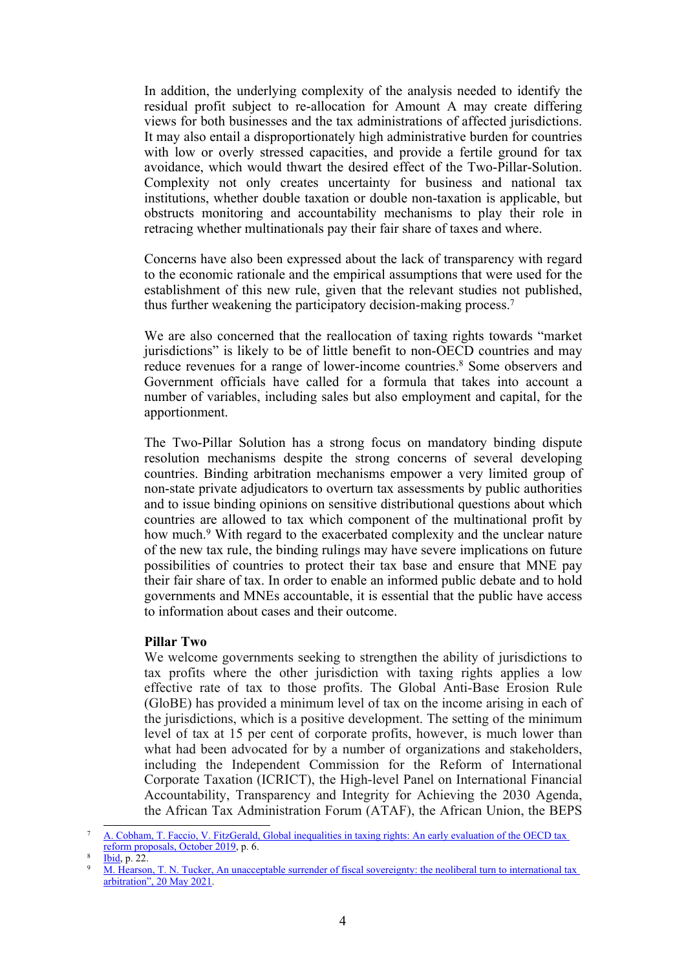In addition, the underlying complexity of the analysis needed to identify the residual profit subject to re-allocation for Amount A may create differing views for both businesses and the tax administrations of affected jurisdictions. It may also entail <sup>a</sup> disproportionately high administrative burden for countries with low or overly stressed capacities, and provide <sup>a</sup> fertile ground for tax avoidance, which would thwart the desired effect of the Two-Pillar-Solution. Complexity not only creates uncertainty for business and national tax institutions, whether double taxation or double non-taxation is applicable, but obstructs monitoring and accountability mechanisms to play their role in retracing whether multinationals pay their fair share of taxes and where.

Concerns have also been expressed about the lack of transparency with regard to the economic rationale and the empirical assumptions that were used for the establishment of this new rule, given that the relevant studies not published, thus further weakening the participatory decision-making process. 7

We are also concerned that the reallocation of taxing rights towards "market jurisdictions" is likely to be of little benefit to non-OECD countries and may reduce revenues for <sup>a</sup> range of lower-income countries. 8 Some observers and Government officials have called for <sup>a</sup> formula that takes into account <sup>a</sup> number of variables, including sales but also employment and capital, for the apportionment.

The Two-Pillar Solution has <sup>a</sup> strong focus on mandatory binding dispute resolution mechanisms despite the strong concerns of several developing countries. Binding arbitration mechanisms empower <sup>a</sup> very limited group of non-state private adjudicators to overturn tax assessments by public authorities and to issue binding opinions on sensitive distributional questions about which countries are allowed to tax which componen<sup>t</sup> of the multinational profit by how much.<sup>9</sup> With regard to the exacerbated complexity and the unclear nature of the new tax rule, the binding rulings may have severe implications on future possibilities of countries to protect their tax base and ensure that MNE pay their fair share of tax. In order to enable an informed public debate and to hold governments and MNEs accountable, it is essential that the public have access to information about cases and their outcome.

## **Pillar Two**

We welcome governments seeking to strengthen the ability of jurisdictions to tax profits where the other jurisdiction with taxing rights applies <sup>a</sup> low effective rate of tax to those profits. The Global Anti-Base Erosion Rule (GloBE) has provided <sup>a</sup> minimum level of tax on the income arising in each of the jurisdictions, which is <sup>a</sup> positive development. The setting of the minimum level of tax at 15 per cent of corporate profits, however, is much lower than what had been advocated for by <sup>a</sup> number of organizations and stakeholders, including the Independent Commission for the Reform of International Corporate Taxation (ICRICT), the High-level Panel on International Financial Accountability, Transparency and Integrity for Achieving the 2030 Agenda, the African Tax Administration Forum (ATAF), the African Union, the BEPS

<sup>&</sup>lt;sup>7</sup> A. Cobham, T. Faccio, V. FitzGerald, Global [inequalities](https://osf.io/preprints/socarxiv/j3p48/) in taxing rights: An early evaluation of the OECD tax <u>reform proposals, [October](https://osf.io/preprints/socarxiv/j3p48/) 2019</u>, p. 6.

<sup>8</sup> [Ibid](https://osf.io/preprints/socarxiv/j3p48/), p. 22.

<sup>&</sup>lt;sup>9</sup> M. Hearson, T. N. Tucker, An unacceptable surrender of fiscal [sovereignty:](https://www.cambridge.org/core/journals/perspectives-on-politics/article/an-unacceptable-surrender-of-fiscal-sovereignty-the-neoliberal-turn-to-international-tax-arbitration/C3E4CDD17A00C985AEFC782CB3ADC2D0) the neoliberal turn to international tax [arbitration](https://www.cambridge.org/core/journals/perspectives-on-politics/article/an-unacceptable-surrender-of-fiscal-sovereignty-the-neoliberal-turn-to-international-tax-arbitration/C3E4CDD17A00C985AEFC782CB3ADC2D0)", 20 May 2021.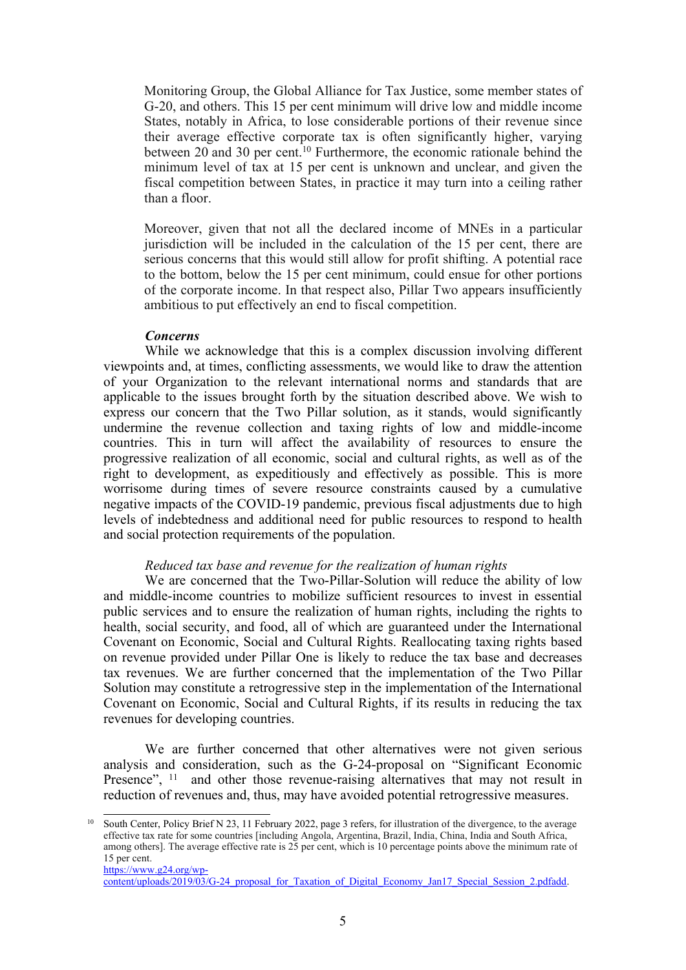Monitoring Group, the Global Alliance for Tax Justice, some member states of G-20, and others. This 15 per cent minimum will drive low and middle income States, notably in Africa, to lose considerable portions of their revenue since their average effective corporate tax is often significantly higher, varying between 20 and 30 per cent.<sup>10</sup> Furthermore, the economic rationale behind the minimum level of tax at 15 per cent is unknown and unclear, and given the fiscal competition between States, in practice it may turn into <sup>a</sup> ceiling rather than <sup>a</sup> floor.

Moreover, given that not all the declared income of MNEs in <sup>a</sup> particular jurisdiction will be included in the calculation of the 15 per cent, there are serious concerns that this would still allow for profit shifting. A potential race to the bottom, below the 15 per cent minimum, could ensue for other portions of the corporate income. In that respec<sup>t</sup> also, Pillar Two appears insufficiently ambitious to pu<sup>t</sup> effectively an end to fiscal competition.

#### *Concerns*

While we acknowledge that this is <sup>a</sup> complex discussion involving different viewpoints and, at times, conflicting assessments, we would like to draw the attention of your Organization to the relevant international norms and standards that are applicable to the issues brought forth by the situation described above. We wish to express our concern that the Two Pillar solution, as it stands, would significantly undermine the revenue collection and taxing rights of low and middle-income countries. This in turn will affect the availability of resources to ensure the progressive realization of all economic, social and cultural rights, as well as of the right to development, as expeditiously and effectively as possible. This is more worrisome during times of severe resource constraints caused by <sup>a</sup> cumulative negative impacts of the COVID-19 pandemic, previous fiscal adjustments due to high levels of indebtedness and additional need for public resources to respond to health and social protection requirements of the population.

#### *Reduced tax base and revenue for the realization of human rights*

We are concerned that the Two-Pillar-Solution will reduce the ability of low and middle-income countries to mobilize sufficient resources to invest in essential public services and to ensure the realization of human rights, including the rights to health, social security, and food, all of which are guaranteed under the International Covenant on Economic, Social and Cultural Rights. Reallocating taxing rights based on revenue provided under Pillar One is likely to reduce the tax base and decreases tax revenues. We are further concerned that the implementation of the Two Pillar Solution may constitute <sup>a</sup> retrogressive step in the implementation of the International Covenant on Economic, Social and Cultural Rights, if its results in reducing the tax revenues for developing countries.

We are further concerned that other alternatives were not given serious analysis and consideration, such as the G-24-proposal on "Significant Economic Presence", <sup>11</sup> and other those revenue-raising alternatives that may not result in reduction of revenues and, thus, may have avoided potential retrogressive measures.

South Center, Policy Brief N 23, 11 February 2022, page 3 refers, for illustration of the divergence, to the average effective tax rate for some countries [including Angola, Argentina, Brazil, India, China, India and South Africa, among others]. The average effective rate is 25 per cent, which is 10 percentage points above the minimum rate of 15 per cent. [https://www.g24.org/wp-](https://www.g24.org/wp-content/uploads/2019/03/G-24_proposal_for_Taxation_of_Digital_Economy_Jan17_Special_Session_2.pdfadd)

content/uploads/2019/03/G-24 proposal\_for\_Taxation\_of\_Digital\_Economy\_Jan17\_Special\_Session\_2.pdfadd.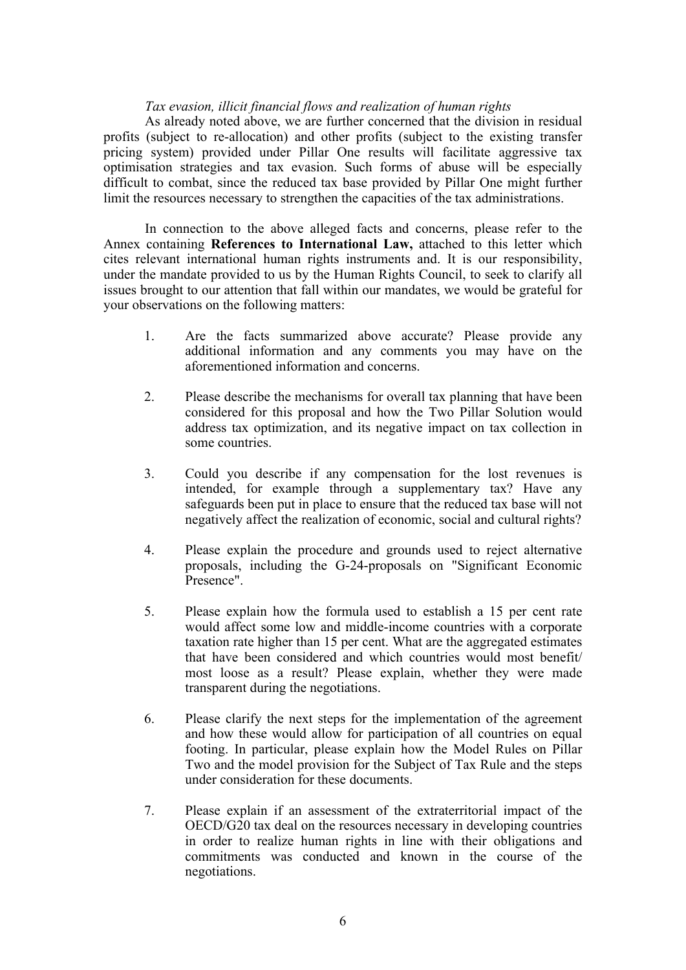## *Tax evasion, illicit financial flows and realization of human rights*

As already noted above, we are further concerned that the division in residual profits (subject to re-allocation) and other profits (subject to the existing transfer pricing system) provided under Pillar One results will facilitate aggressive tax optimisation strategies and tax evasion. Such forms of abuse will be especially difficult to combat, since the reduced tax base provided by Pillar One might further limit the resources necessary to strengthen the capacities of the tax administrations.

In connection to the above alleged facts and concerns, please refer to the Annex containing **References to International Law,** attached to this letter which cites relevant international human rights instruments and. It is our responsibility, under the mandate provided to us by the Human Rights Council, to seek to clarify all issues brought to our attention that fall within our mandates, we would be grateful for your observations on the following matters:

- 1. Are the facts summarized above accurate? Please provide any additional information and any comments you may have on the aforementioned information and concerns.
- 2. Please describe the mechanisms for overall tax planning that have been considered for this proposal and how the Two Pillar Solution would address tax optimization, and its negative impact on tax collection in some countries.
- 3. Could you describe if any compensation for the lost revenues is intended, for example through <sup>a</sup> supplementary tax? Have any safeguards been pu<sup>t</sup> in place to ensure that the reduced tax base will not negatively affect the realization of economic, social and cultural rights?
- 4. Please explain the procedure and grounds used to reject alternative proposals, including the G-24-proposals on "Significant Economic Presence".
- 5. Please explain how the formula used to establish <sup>a</sup> 15 per cent rate would affect some low and middle-income countries with <sup>a</sup> corporate taxation rate higher than 15 per cent. What are the aggregated estimates that have been considered and which countries would most benefit/ most loose as <sup>a</sup> result? Please explain, whether they were made transparent during the negotiations.
- 6. Please clarify the next steps for the implementation of the agreemen<sup>t</sup> and how these would allow for participation of all countries on equal footing. In particular, please explain how the Model Rules on Pillar Two and the model provision for the Subject of Tax Rule and the steps under consideration for these documents.
- 7. Please explain if an assessment of the extraterritorial impact of the OECD/G20 tax deal on the resources necessary in developing countries in order to realize human rights in line with their obligations and commitments was conducted and known in the course of the negotiations.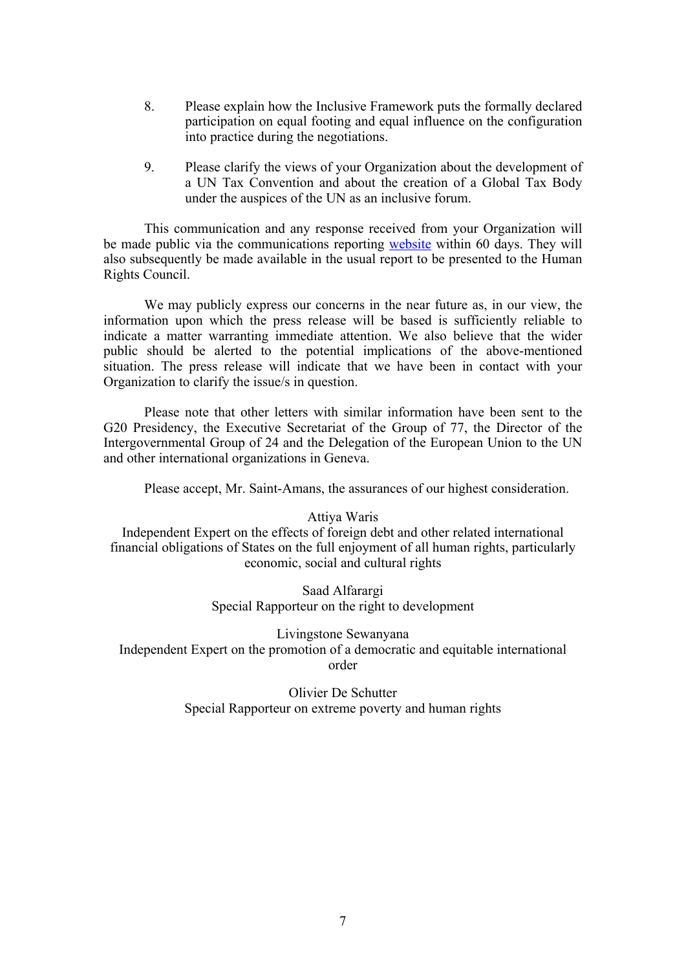- 8. Please explain how the Inclusive Framework puts the formally declared participation on equal footing and equal influence on the configuration into practice during the negotiations.
- 9. Please clarify the views of your Organization about the development of <sup>a</sup> UN Tax Convention and about the creation of <sup>a</sup> Global Tax Body under the auspices of the UN as an inclusive forum.

This communication and any response received from your Organization will be made public via the communications reporting [website](https://spcommreports.ohchr.org/TMResultsBase/DownLoadPublicCommunicationFile?gId=27128) within 60 days. They will also subsequently be made available in the usual repor<sup>t</sup> to be presented to the Human Rights Council.

We may publicly express our concerns in the near future as, in our view, the information upon which the press release will be based is sufficiently reliable to indicate <sup>a</sup> matter warranting immediate attention. We also believe that the wider public should be alerted to the potential implications of the above-mentioned situation. The press release will indicate that we have been in contact with your Organization to clarify the issue/s in question.

Please note that other letters with similar information have been sent to the G20 Presidency, the Executive Secretariat of the Group of 77, the Director of the Intergovernmental Group of 24 and the Delegation of the European Union to the UN and other international organizations in Geneva.

Please accept, Mr. Saint-Amans, the assurances of our highest consideration.

Attiya Waris Independent Expert on the effects of foreign debt and other related international financial obligations of States on the full enjoyment of all human rights, particularly economic, social and cultural rights

> Saad Alfarargi Special Rapporteur on the right to development

Livingstone Sewanyana Independent Expert on the promotion of <sup>a</sup> democratic and equitable international order

> Olivier De Schutter Special Rapporteur on extreme poverty and human rights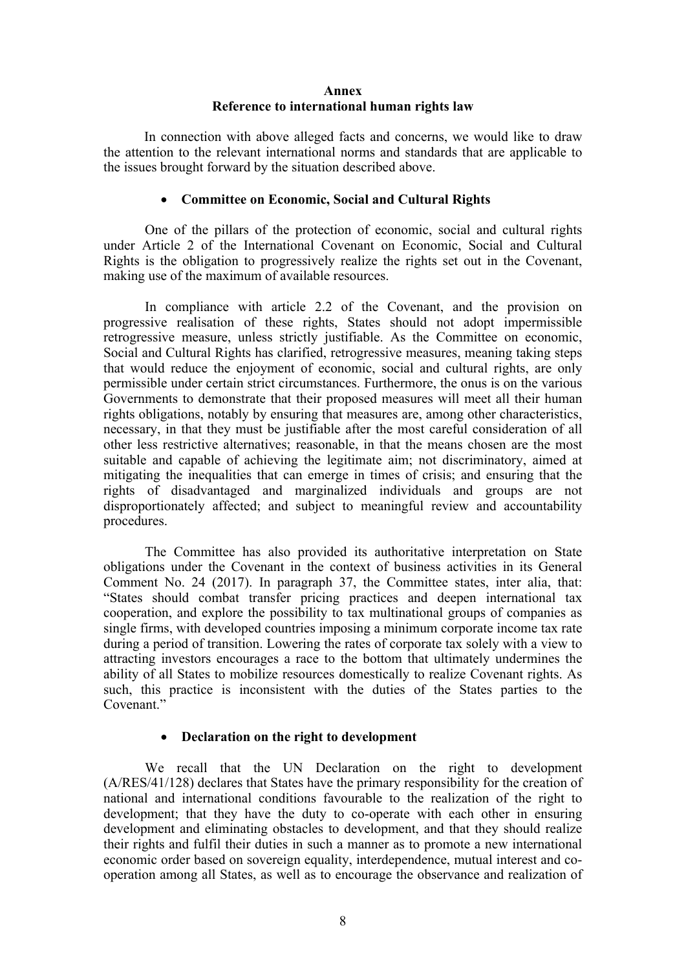## **Annex Reference to international human rights law**

In connection with above alleged facts and concerns, we would like to draw the attention to the relevant international norms and standards that are applicable to the issues brought forward by the situation described above.

## **Committee on Economic, Social and Cultural Rights**

One of the pillars of the protection of economic, social and cultural rights under Article 2 of the International Covenant on Economic, Social and Cultural Rights is the obligation to progressively realize the rights set out in the Covenant, making use of the maximum of available resources.

In compliance with article 2.2 of the Covenant, and the provision on progressive realisation of these rights, States should not adopt impermissible retrogressive measure, unless strictly justifiable. As the Committee on economic, Social and Cultural Rights has clarified, retrogressive measures, meaning taking steps that would reduce the enjoyment of economic, social and cultural rights, are only permissible under certain strict circumstances. Furthermore, the onus is on the various Governments to demonstrate that their proposed measures will meet all their human rights obligations, notably by ensuring that measures are, among other characteristics, necessary, in that they must be justifiable after the most careful consideration of all other less restrictive alternatives; reasonable, in that the means chosen are the most suitable and capable of achieving the legitimate aim; not discriminatory, aimed at mitigating the inequalities that can emerge in times of crisis; and ensuring that the rights of disadvantaged and marginalized individuals and groups are not disproportionately affected; and subject to meaningful review and accountability procedures.

The Committee has also provided its authoritative interpretation on State obligations under the Covenant in the context of business activities in its General Comment No. 24 (2017). In paragraph 37, the Committee states, inter alia, that: "States should combat transfer pricing practices and deepen international tax cooperation, and explore the possibility to tax multinational groups of companies as single firms, with developed countries imposing <sup>a</sup> minimum corporate income tax rate during <sup>a</sup> period of transition. Lowering the rates of corporate tax solely with <sup>a</sup> view to attracting investors encourages <sup>a</sup> race to the bottom that ultimately undermines the ability of all States to mobilize resources domestically to realize Covenant rights. As such, this practice is inconsistent with the duties of the States parties to the Covenant."

#### $\bullet$ **Declaration on the right to development**

We recall that the UN Declaration on the right to development (A/RES/41/128) declares that States have the primary responsibility for the creation of national and international conditions favourable to the realization of the right to development; that they have the duty to co-operate with each other in ensuring development and eliminating obstacles to development, and that they should realize their rights and fulfil their duties in such <sup>a</sup> manner as to promote <sup>a</sup> new international economic order based on sovereign equality, interdependence, mutual interest and cooperation among all States, as well as to encourage the observance and realization of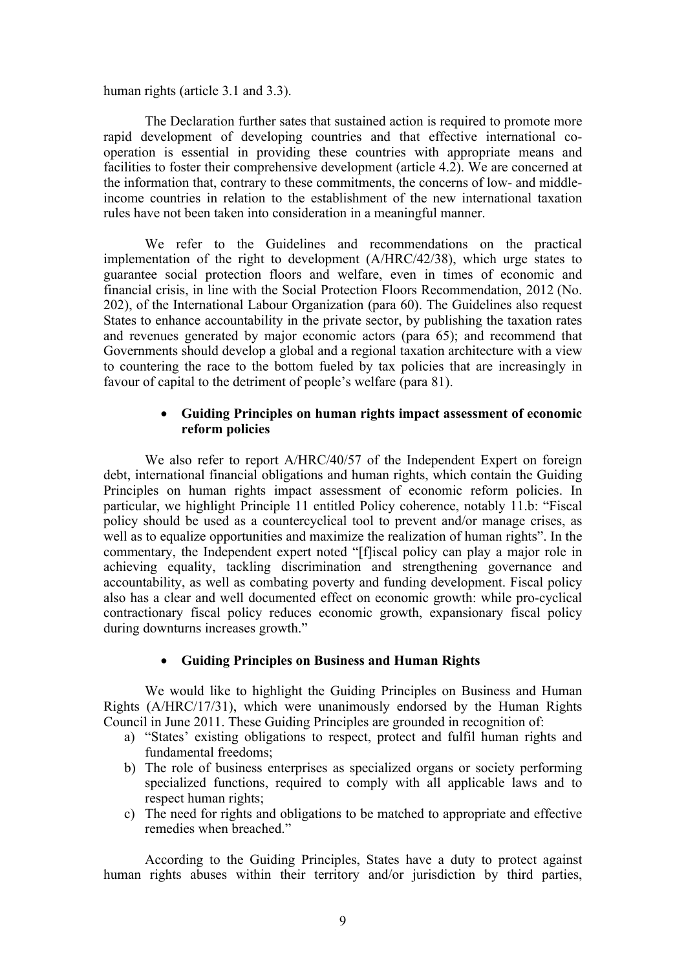human rights (article 3.1 and 3.3).

The Declaration further sates that sustained action is required to promote more rapid development of developing countries and that effective international cooperation is essential in providing these countries with appropriate means and facilities to foster their comprehensive development (article 4.2). We are concerned at the information that, contrary to these commitments, the concerns of low- and middleincome countries in relation to the establishment of the new international taxation rules have not been taken into consideration in <sup>a</sup> meaningful manner.

We refer to the Guidelines and recommendations on the practical implementation of the right to development (A/HRC/42/38), which urge states to guarantee social protection floors and welfare, even in times of economic and financial crisis, in line with the Social Protection Floors Recommendation, 2012 (No. 202), of the International Labour Organization (para 60). The Guidelines also reques<sup>t</sup> States to enhance accountability in the private sector, by publishing the taxation rates and revenues generated by major economic actors (para 65); and recommend that Governments should develop <sup>a</sup> global and <sup>a</sup> regional taxation architecture with <sup>a</sup> view to countering the race to the bottom fueled by tax policies that are increasingly in favour of capital to the detriment of people'<sup>s</sup> welfare (para 81).

## **Guiding Principles on human rights impact assessment of economic reform policies**

We also refer to report A/HRC/40/57 of the Independent Expert on foreign debt, international financial obligations and human rights, which contain the Guiding Principles on human rights impact assessment of economic reform policies. In particular, we highlight Principle 11 entitled Policy coherence, notably 11.b: "Fiscal policy should be used as <sup>a</sup> countercyclical tool to preven<sup>t</sup> and/or manage crises, as well as to equalize opportunities and maximize the realization of human rights". In the commentary, the Independent exper<sup>t</sup> noted "[f]iscal policy can play <sup>a</sup> major role in achieving equality, tackling discrimination and strengthening governance and accountability, as well as combating poverty and funding development. Fiscal policy also has <sup>a</sup> clear and well documented effect on economic growth: while pro-cyclical contractionary fiscal policy reduces economic growth, expansionary fiscal policy during downturns increases growth."

# **Guiding Principles on Business and Human Rights**

We would like to highlight the Guiding Principles on Business and Human Rights (A/HRC/17/31), which were unanimously endorsed by the Human Rights Council in June 2011. These Guiding Principles are grounded in recognition of:

- a) "States' existing obligations to respect, protect and fulfil human rights and fundamental freedoms;
- b) The role of business enterprises as specialized organs or society performing specialized functions, required to comply with all applicable laws and to respec<sup>t</sup> human rights;
- c) The need for rights and obligations to be matched to appropriate and effective remedies when breached."

According to the Guiding Principles, States have <sup>a</sup> duty to protect against human rights abuses within their territory and/or jurisdiction by third parties,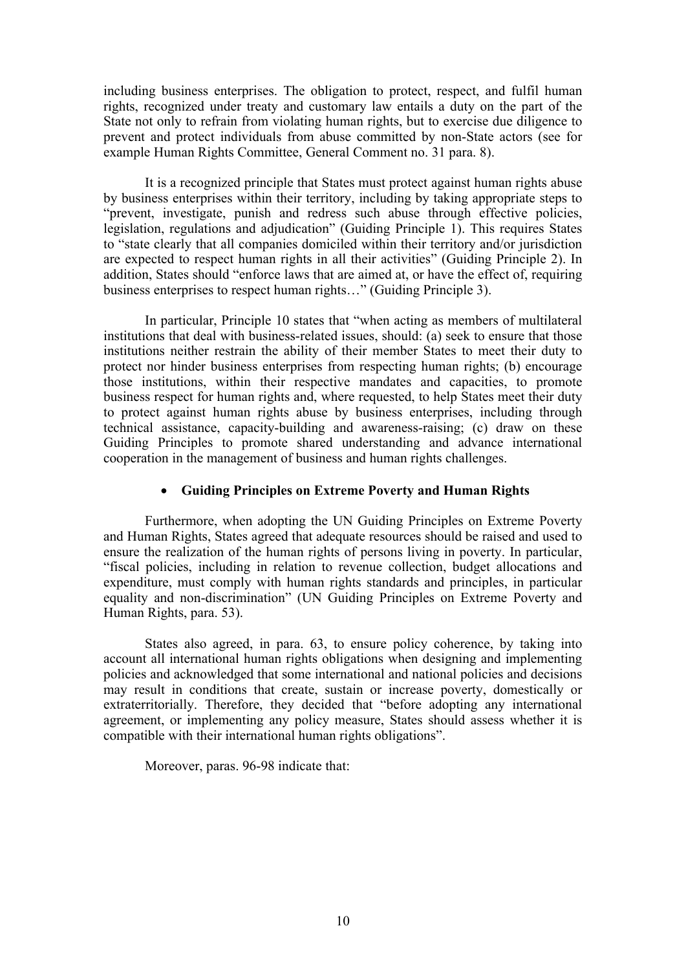including business enterprises. The obligation to protect, respect, and fulfil human rights, recognized under treaty and customary law entails <sup>a</sup> duty on the par<sup>t</sup> of the State not only to refrain from violating human rights, but to exercise due diligence to preven<sup>t</sup> and protect individuals from abuse committed by non-State actors (see for example Human Rights Committee, General Comment no. 31 para. 8).

It is <sup>a</sup> recognized principle that States must protect against human rights abuse by business enterprises within their territory, including by taking appropriate steps to "prevent, investigate, punish and redress such abuse through effective policies, legislation, regulations and adjudication" (Guiding Principle 1). This requires States to "state clearly that all companies domiciled within their territory and/or jurisdiction are expected to respec<sup>t</sup> human rights in all their activities" (Guiding Principle 2). In addition, States should "enforce laws that are aimed at, or have the effect of, requiring business enterprises to respec<sup>t</sup> human rights…" (Guiding Principle 3).

In particular, Principle 10 states that "when acting as members of multilateral institutions that deal with business-related issues, should: (a) seek to ensure that those institutions neither restrain the ability of their member States to meet their duty to protect nor hinder business enterprises from respecting human rights; (b) encourage those institutions, within their respective mandates and capacities, to promote business respec<sup>t</sup> for human rights and, where requested, to help States meet their duty to protect against human rights abuse by business enterprises, including through technical assistance, capacity-building and awareness-raising; (c) draw on these Guiding Principles to promote shared understanding and advance international cooperation in the managemen<sup>t</sup> of business and human rights challenges.

## **Guiding Principles on Extreme Poverty and Human Rights**

Furthermore, when adopting the UN Guiding Principles on Extreme Poverty and Human Rights, States agreed that adequate resources should be raised and used to ensure the realization of the human rights of persons living in poverty. In particular, "fiscal policies, including in relation to revenue collection, budget allocations and expenditure, must comply with human rights standards and principles, in particular equality and non-discrimination" (UN Guiding Principles on Extreme Poverty and Human Rights, para. 53).

States also agreed, in para. 63, to ensure policy coherence, by taking into account all international human rights obligations when designing and implementing policies and acknowledged that some international and national policies and decisions may result in conditions that create, sustain or increase poverty, domestically or extraterritorially. Therefore, they decided that "before adopting any international agreement, or implementing any policy measure, States should assess whether it is compatible with their international human rights obligations".

Moreover, paras. 96-98 indicate that: